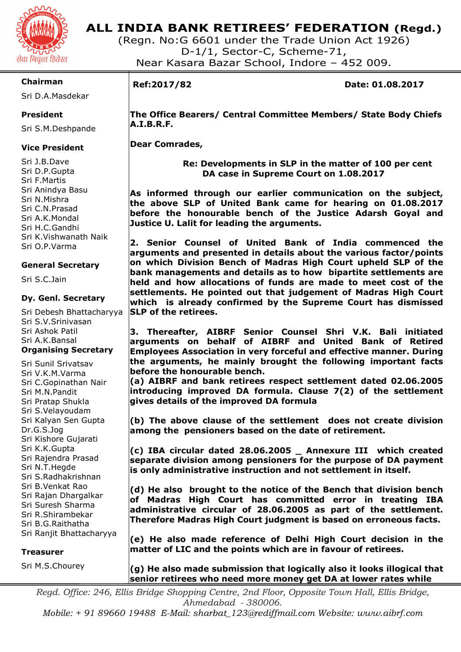

# **ALL INDIA BANK RETIREES' FEDERATION (Regd.)**

(Regn. No:G 6601 under the Trade Union Act 1926) D-1/1, Sector-C, Scheme-71, Near Kasara Bazar School, Indore – 452 009.

### **Chairman**

Sri D.A.Masdekar

### **President**

Sri S.M.Deshpande

### **Vice President**

Sri J.B.Dave Sri D.P.Gupta Sri F.Martis Sri Anindya Basu Sri N.Mishra Sri C.N.Prasad Sri A.K.Mondal Sri H.C.Gandhi Sri K.Vishwanath Naik Sri O.P.Varma

### **General Secretary**

Sri S.C.Jain

### **Dy. Genl. Secretary**

Sri Debesh Bhattacharyya Sri S.V.Srinivasan Sri Ashok Patil Sri A.K.Bansal **Organising Secretary** 

Sri Sunil Srivatsav Sri V.K.M.Varma Sri C.Gopinathan Nair Sri M.N.Pandit Sri Pratap Shukla Sri S.Velayoudam Sri Kalyan Sen Gupta Dr.G.S.Jog Sri Kishore Gujarati Sri K.K.Gupta Sri Rajendra Prasad Sri N.T.Hegde Sri S.Radhakrishnan Sri B.Venkat Rao Sri Rajan Dhargalkar Sri Suresh Sharma Sri R.Shirambekar Sri B.G.Raithatha Sri Ranjit Bhattacharyya

### **Treasurer**

Sri M.S.Chourey

**(g) He also made submission that logically also it looks illogical that senior retirees who need more money get DA at lower rates while** 

*Regd. Office: 246, Ellis Bridge Shopping Centre, 2nd Floor, Opposite Town Hall, Ellis Bridge, Ahmedabad - 380006.* 

*Mobile: + 91 89660 19488 E-Mail: sharbat\_123@rediffmail.com Website: www.aibrf.com* 

# I

**Ref:2017/82 Date: 01.08.2017** 

 **The Office Bearers/ Central Committee Members/ State Body Chiefs A.I.B.R.F.** 

 **Dear Comrades,** 

 **Re: Developments in SLP in the matter of 100 per cent DA case in Supreme Court on 1.08.2017** 

**As informed through our earlier communication on the subject, the above SLP of United Bank came for hearing on 01.08.2017 before the honourable bench of the Justice Adarsh Goyal and Justice U. Lalit for leading the arguments.** 

**2. Senior Counsel of United Bank of India commenced the arguments and presented in details about the various factor/points on which Division Bench of Madras High Court upheld SLP of the bank managements and details as to how bipartite settlements are held and how allocations of funds are made to meet cost of the settlements. He pointed out that judgement of Madras High Court which is already confirmed by the Supreme Court has dismissed SLP of the retirees.** 

**3. Thereafter, AIBRF Senior Counsel Shri V.K. Bali initiated arguments on behalf of AIBRF and United Bank of Retired Employees Association in very forceful and effective manner. During the arguments, he mainly brought the following important facts before the honourable bench.** 

**(a) AIBRF and bank retirees respect settlement dated 02.06.2005 introducing improved DA formula. Clause 7(2) of the settlement gives details of the improved DA formula** 

**(b) The above clause of the settlement does not create division among the pensioners based on the date of retirement.** 

**(c) IBA circular dated 28.06.2005 \_ Annexure III which created separate division among pensioners for the purpose of DA payment is only administrative instruction and not settlement in itself.** 

**(d) He also brought to the notice of the Bench that division bench of Madras High Court has committed error in treating IBA administrative circular of 28.06.2005 as part of the settlement. Therefore Madras High Court judgment is based on erroneous facts.** 

**(e) He also made reference of Delhi High Court decision in the matter of LIC and the points which are in favour of retirees.**